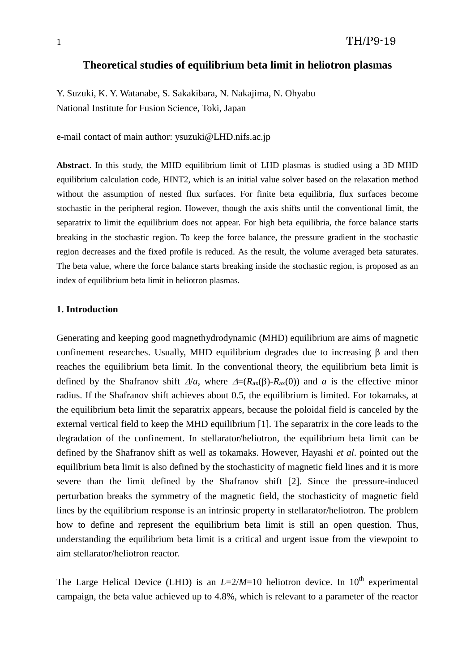# **Theoretical studies of equilibrium beta limit in heliotron plasmas**

Y. Suzuki, K. Y. Watanabe, S. Sakakibara, N. Nakajima, N. Ohyabu National Institute for Fusion Science, Toki, Japan

e-mail contact of main author: ysuzuki@LHD.nifs.ac.jp

**Abstract**. In this study, the MHD equilibrium limit of LHD plasmas is studied using a 3D MHD equilibrium calculation code, HINT2, which is an initial value solver based on the relaxation method without the assumption of nested flux surfaces. For finite beta equilibria, flux surfaces become stochastic in the peripheral region. However, though the axis shifts until the conventional limit, the separatrix to limit the equilibrium does not appear. For high beta equilibria, the force balance starts breaking in the stochastic region. To keep the force balance, the pressure gradient in the stochastic region decreases and the fixed profile is reduced. As the result, the volume averaged beta saturates. The beta value, where the force balance starts breaking inside the stochastic region, is proposed as an index of equilibrium beta limit in heliotron plasmas.

## **1. Introduction**

Generating and keeping good magnethydrodynamic (MHD) equilibrium are aims of magnetic confinement researches. Usually, MHD equilibrium degrades due to increasing  $\beta$  and then reaches the equilibrium beta limit. In the conventional theory, the equilibrium beta limit is defined by the Shafranov shift  $\Delta/a$ , where  $\Delta = (R_{ax}(\beta) - R_{ax}(0))$  and *a* is the effective minor radius. If the Shafranov shift achieves about 0.5, the equilibrium is limited. For tokamaks, at the equilibrium beta limit the separatrix appears, because the poloidal field is canceled by the external vertical field to keep the MHD equilibrium [1]. The separatrix in the core leads to the degradation of the confinement. In stellarator/heliotron, the equilibrium beta limit can be defined by the Shafranov shift as well as tokamaks. However, Hayashi *et al*. pointed out the equilibrium beta limit is also defined by the stochasticity of magnetic field lines and it is more severe than the limit defined by the Shafranov shift [2]. Since the pressure-induced perturbation breaks the symmetry of the magnetic field, the stochasticity of magnetic field lines by the equilibrium response is an intrinsic property in stellarator/heliotron. The problem how to define and represent the equilibrium beta limit is still an open question. Thus, understanding the equilibrium beta limit is a critical and urgent issue from the viewpoint to aim stellarator/heliotron reactor.

The Large Helical Device (LHD) is an  $L=2/M=10$  heliotron device. In  $10<sup>th</sup>$  experimental campaign, the beta value achieved up to 4.8%, which is relevant to a parameter of the reactor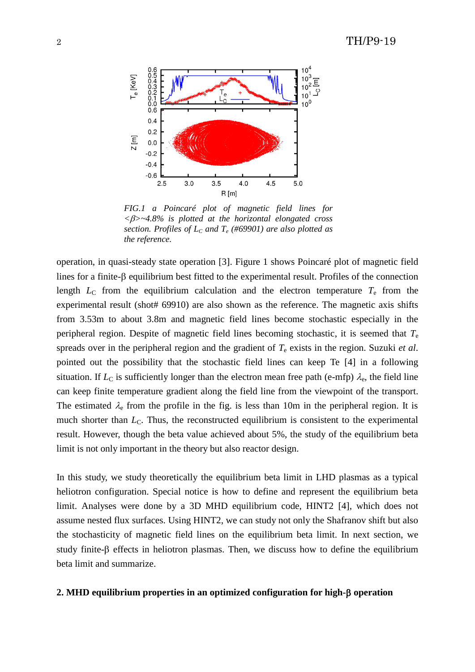

*FIG.1 a Poincaré plot of magnetic field lines for <>~4.8% is plotted at the horizontal elongated cross section. Profiles of L<sup>C</sup> and T<sup>e</sup> (#69901) are also plotted as the reference.*

operation, in quasi-steady state operation [3]. Figure 1 shows Poincaré plot of magnetic field lines for a finite- $\beta$  equilibrium best fitted to the experimental result. Profiles of the connection length  $L<sub>C</sub>$  from the equilibrium calculation and the electron temperature  $T<sub>e</sub>$  from the experimental result (shot# 69910) are also shown as the reference. The magnetic axis shifts from 3.53m to about 3.8m and magnetic field lines become stochastic especially in the peripheral region. Despite of magnetic field lines becoming stochastic, it is seemed that *T*<sup>e</sup> spreads over in the peripheral region and the gradient of *T*<sup>e</sup> exists in the region. Suzuki *et al*. pointed out the possibility that the stochastic field lines can keep Te [4] in a following situation. If  $L_{\rm C}$  is sufficiently longer than the electron mean free path (e-mfp)  $\lambda_{\rm e}$ , the field line can keep finite temperature gradient along the field line from the viewpoint of the transport. The estimated  $\lambda_e$  from the profile in the fig. is less than 10m in the peripheral region. It is much shorter than  $L<sub>C</sub>$ . Thus, the reconstructed equilibrium is consistent to the experimental result. However, though the beta value achieved about 5%, the study of the equilibrium beta limit is not only important in the theory but also reactor design.

In this study, we study theoretically the equilibrium beta limit in LHD plasmas as a typical heliotron configuration. Special notice is how to define and represent the equilibrium beta limit. Analyses were done by a 3D MHD equilibrium code, HINT2 [4], which does not assume nested flux surfaces. Using HINT2, we can study not only the Shafranov shift but also the stochasticity of magnetic field lines on the equilibrium beta limit. In next section, we study finite- $\beta$  effects in heliotron plasmas. Then, we discuss how to define the equilibrium beta limit and summarize.

### **2. MHD equilibrium properties in an optimized configuration for high- operation**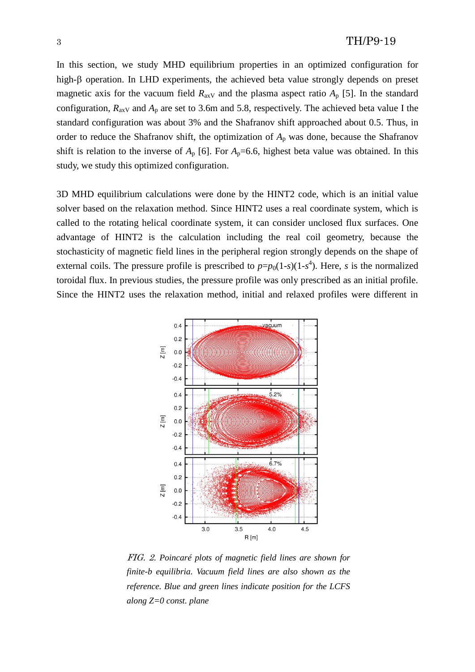In this section, we study MHD equilibrium properties in an optimized configuration for high- $\beta$  operation. In LHD experiments, the achieved beta value strongly depends on preset magnetic axis for the vacuum field  $R_{\text{axV}}$  and the plasma aspect ratio  $A_p$  [5]. In the standard configuration,  $R_{\text{axV}}$  and  $A_{\text{p}}$  are set to 3.6m and 5.8, respectively. The achieved beta value I the standard configuration was about 3% and the Shafranov shift approached about 0.5. Thus, in order to reduce the Shafranov shift, the optimization of  $A_p$  was done, because the Shafranov shift is relation to the inverse of  $A_p$  [6]. For  $A_p$ =6.6, highest beta value was obtained. In this study, we study this optimized configuration.

3D MHD equilibrium calculations were done by the HINT2 code, which is an initial value solver based on the relaxation method. Since HINT2 uses a real coordinate system, which is called to the rotating helical coordinate system, it can consider unclosed flux surfaces. One advantage of HINT2 is the calculation including the real coil geometry, because the stochasticity of magnetic field lines in the peripheral region strongly depends on the shape of external coils. The pressure profile is prescribed to  $p=p_0(1-s)(1-s^4)$ . Here, *s* is the normalized toroidal flux. In previous studies, the pressure profile was only prescribed as an initial profile. Since the HINT2 uses the relaxation method, initial and relaxed profiles were different in



FIG. 2. *Poincaré plots of magnetic field lines are shown for finite-b equilibria. Vacuum field lines are also shown as the reference. Blue and green lines indicate position for the LCFS along Z=0 const. plane*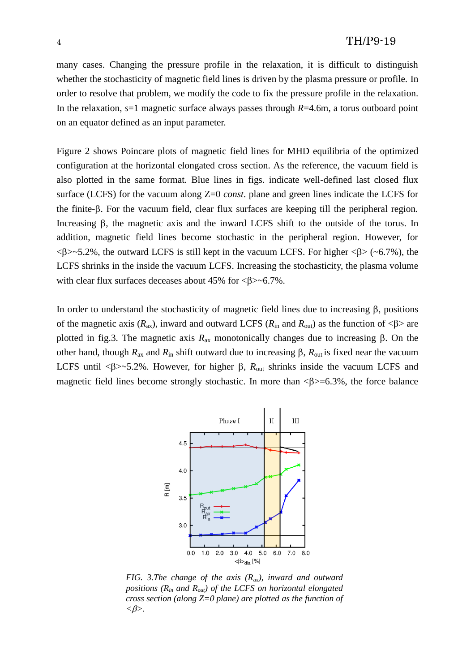many cases. Changing the pressure profile in the relaxation, it is difficult to distinguish whether the stochasticity of magnetic field lines is driven by the plasma pressure or profile. In order to resolve that problem, we modify the code to fix the pressure profile in the relaxation. In the relaxation, *s*=1 magnetic surface always passes through *R*=4.6m, a torus outboard point on an equator defined as an input parameter.

Figure 2 shows Poincare plots of magnetic field lines for MHD equilibria of the optimized configuration at the horizontal elongated cross section. As the reference, the vacuum field is also plotted in the same format. Blue lines in figs. indicate well-defined last closed flux surface (LCFS) for the vacuum along Z=0 *const*. plane and green lines indicate the LCFS for the finite- $\beta$ . For the vacuum field, clear flux surfaces are keeping till the peripheral region. Increasing B, the magnetic axis and the inward LCFS shift to the outside of the torus. In addition, magnetic field lines become stochastic in the peripheral region. However, for  $\langle \beta \rangle \sim 5.2\%$ , the outward LCFS is still kept in the vacuum LCFS. For higher  $\langle \beta \rangle$  ( $\sim 6.7\%$ ), the LCFS shrinks in the inside the vacuum LCFS. Increasing the stochasticity, the plasma volume with clear flux surfaces deceases about  $45\%$  for  $\langle \beta \rangle \sim 6.7\%$ .

In order to understand the stochasticity of magnetic field lines due to increasing  $\beta$ , positions of the magnetic axis  $(R_{ax})$ , inward and outward LCFS  $(R_{in}$  and  $R_{out}$ ) as the function of  $\langle \beta \rangle$  are plotted in fig.3. The magnetic axis  $R_{ax}$  monotonically changes due to increasing  $\beta$ . On the other hand, though  $R_{ax}$  and  $R_{in}$  shift outward due to increasing  $\beta$ ,  $R_{out}$  is fixed near the vacuum LCFS until < $\beta$ > -5.2%. However, for higher  $\beta$ ,  $R_{out}$  shrinks inside the vacuum LCFS and magnetic field lines become strongly stochastic. In more than  $\langle \beta \rangle = 6.3\%$ , the force balance



*FIG. 3.The change of the axis (Rax), inward and outward positions (Rin and Rout) of the LCFS on horizontal elongated cross section (along Z=0 plane) are plotted as the function of*   $<\!\beta\!\!>.$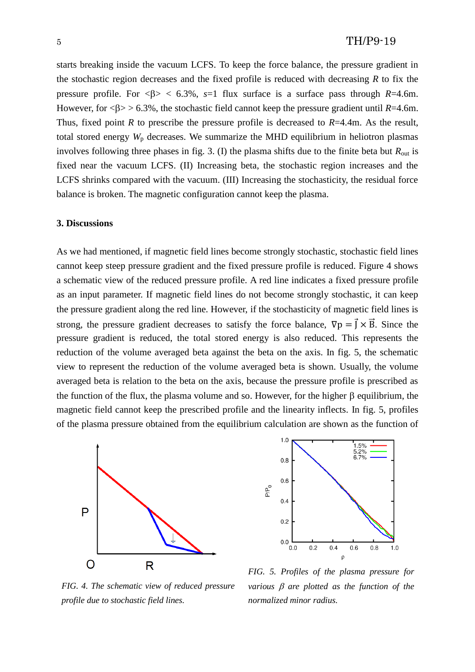starts breaking inside the vacuum LCFS. To keep the force balance, the pressure gradient in the stochastic region decreases and the fixed profile is reduced with decreasing *R* to fix the pressure profile. For  $\langle \beta \rangle$  < 6.3%, s=1 flux surface is a surface pass through *R*=4.6m. However, for  $\langle \beta \rangle > 6.3\%$ , the stochastic field cannot keep the pressure gradient until *R*=4.6m. Thus, fixed point *R* to prescribe the pressure profile is decreased to *R*=4.4m. As the result, total stored energy  $W_p$  decreases. We summarize the MHD equilibrium in heliotron plasmas involves following three phases in fig. 3. (I) the plasma shifts due to the finite beta but  $R_{\text{out}}$  is fixed near the vacuum LCFS. (II) Increasing beta, the stochastic region increases and the LCFS shrinks compared with the vacuum. (III) Increasing the stochasticity, the residual force balance is broken. The magnetic configuration cannot keep the plasma.

#### **3. Discussions**

As we had mentioned, if magnetic field lines become strongly stochastic, stochastic field lines cannot keep steep pressure gradient and the fixed pressure profile is reduced. Figure 4 shows a schematic view of the reduced pressure profile. A red line indicates a fixed pressure profile as an input parameter. If magnetic field lines do not become strongly stochastic, it can keep the pressure gradient along the red line. However, if the stochasticity of magnetic field lines is strong, the pressure gradient decreases to satisfy the force balance,  $\nabla p = \vec{J} \times \vec{B}$ . Since the pressure gradient is reduced, the total stored energy is also reduced. This represents the reduction of the volume averaged beta against the beta on the axis. In fig. 5, the schematic view to represent the reduction of the volume averaged beta is shown. Usually, the volume averaged beta is relation to the beta on the axis, because the pressure profile is prescribed as the function of the flux, the plasma volume and so. However, for the higher  $\beta$  equilibrium, the magnetic field cannot keep the prescribed profile and the linearity inflects. In fig. 5, profiles of the plasma pressure obtained from the equilibrium calculation are shown as the function of





*FIG. 4. The schematic view of reduced pressure profile due to stochastic field lines.*

*FIG. 5. Profiles of the plasma pressure for various*  $\beta$  *are plotted as the function of the normalized minor radius.*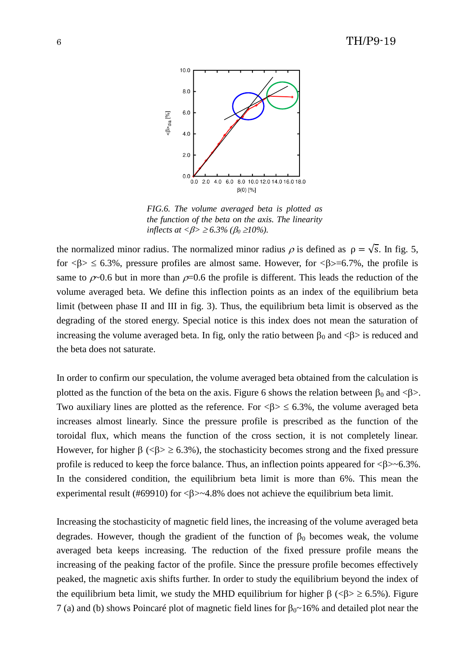

*FIG.6. The volume averaged beta is plotted as the function of the beta on the axis. The linearity inflects at*  $\langle \beta \rangle \ge 6.3\%$  ( $\beta_0 \ge 10\%$ ).

the normalized minor radius. The normalized minor radius  $\rho$  is defined as  $\rho = \sqrt{s}$ . In fig. 5, for  $\langle \beta \rangle \leq 6.3\%$ , pressure profiles are almost same. However, for  $\langle \beta \rangle = 6.7\%$ , the profile is same to  $\rho$ -0.6 but in more than  $\rho$ =0.6 the profile is different. This leads the reduction of the volume averaged beta. We define this inflection points as an index of the equilibrium beta limit (between phase II and III in fig. 3). Thus, the equilibrium beta limit is observed as the degrading of the stored energy. Special notice is this index does not mean the saturation of increasing the volume averaged beta. In fig, only the ratio between  $\beta_0$  and  $\langle \beta \rangle$  is reduced and the beta does not saturate.

In order to confirm our speculation, the volume averaged beta obtained from the calculation is plotted as the function of the beta on the axis. Figure 6 shows the relation between  $\beta_0$  and < $\beta$ >. Two auxiliary lines are plotted as the reference. For  $\langle \beta \rangle \leq 6.3\%$ , the volume averaged beta increases almost linearly. Since the pressure profile is prescribed as the function of the toroidal flux, which means the function of the cross section, it is not completely linear. However, for higher  $\beta$  (< $\beta$ >  $\ge$  6.3%), the stochasticity becomes strong and the fixed pressure profile is reduced to keep the force balance. Thus, an inflection points appeared for  $\langle \beta \rangle \sim 6.3\%$ . In the considered condition, the equilibrium beta limit is more than 6%. This mean the experimental result (#69910) for  $\langle \beta \rangle \sim 4.8\%$  does not achieve the equilibrium beta limit.

Increasing the stochasticity of magnetic field lines, the increasing of the volume averaged beta degrades. However, though the gradient of the function of  $\beta_0$  becomes weak, the volume averaged beta keeps increasing. The reduction of the fixed pressure profile means the increasing of the peaking factor of the profile. Since the pressure profile becomes effectively peaked, the magnetic axis shifts further. In order to study the equilibrium beyond the index of the equilibrium beta limit, we study the MHD equilibrium for higher  $\beta$  (< $\beta$ >  $\ge$  6.5%). Figure 7 (a) and (b) shows Poincaré plot of magnetic field lines for  $\beta_0 \sim 16\%$  and detailed plot near the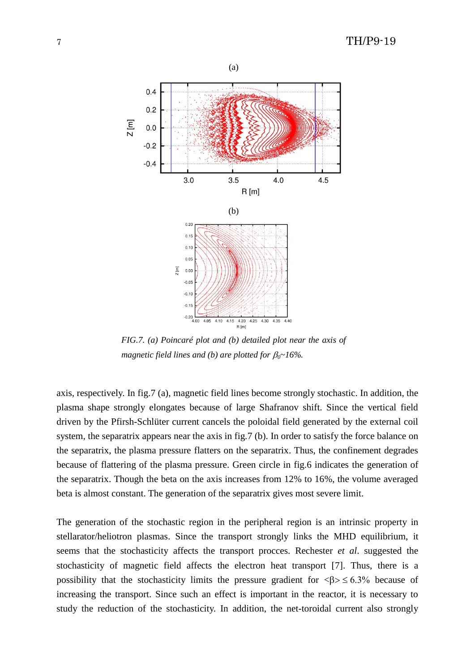

*FIG.7. (a) Poincaré plot and (b) detailed plot near the axis of magnetic field lines and (b) are plotted for*  $\beta_0 \sim 16\%$ *.* 

axis, respectively. In fig.7 (a), magnetic field lines become strongly stochastic. In addition, the plasma shape strongly elongates because of large Shafranov shift. Since the vertical field driven by the Pfirsh-Schlüter current cancels the poloidal field generated by the external coil system, the separatrix appears near the axis in fig.7 (b). In order to satisfy the force balance on the separatrix, the plasma pressure flatters on the separatrix. Thus, the confinement degrades because of flattering of the plasma pressure. Green circle in fig.6 indicates the generation of the separatrix. Though the beta on the axis increases from 12% to 16%, the volume averaged beta is almost constant. The generation of the separatrix gives most severe limit.

The generation of the stochastic region in the peripheral region is an intrinsic property in stellarator/heliotron plasmas. Since the transport strongly links the MHD equilibrium, it seems that the stochasticity affects the transport procces. Rechester *et al*. suggested the stochasticity of magnetic field affects the electron heat transport [7]. Thus, there is a possibility that the stochasticity limits the pressure gradient for  $\langle \beta \rangle \leq 6.3\%$  because of increasing the transport. Since such an effect is important in the reactor, it is necessary to study the reduction of the stochasticity. In addition, the net-toroidal current also strongly